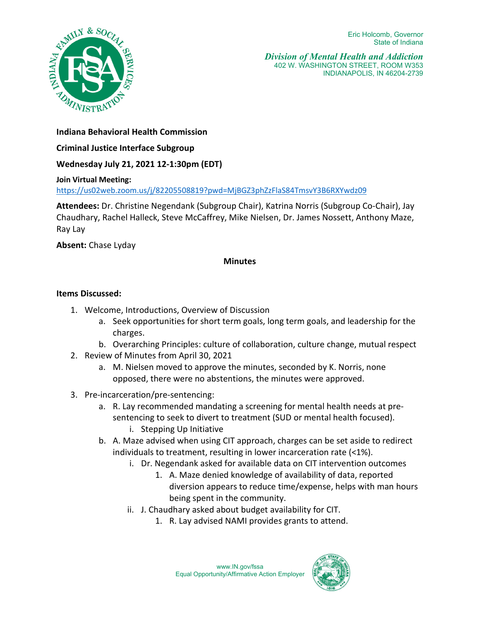

*Division of Mental Health and Addiction*  402 W. WASHINGTON STREET, ROOM W353 INDIANAPOLIS, IN 46204-2739

**Indiana Behavioral Health Commission** 

**Criminal Justice Interface Subgroup**

**Wednesday July 21, 2021 12-1:30pm (EDT)** 

## **Join Virtual Meeting:**

<https://us02web.zoom.us/j/82205508819?pwd=MjBGZ3phZzFlaS84TmsvY3B6RXYwdz09>

**Attendees:** Dr. Christine Negendank (Subgroup Chair), Katrina Norris (Subgroup Co-Chair), Jay Chaudhary, Rachel Halleck, Steve McCaffrey, Mike Nielsen, Dr. James Nossett, Anthony Maze, Ray Lay

**Absent:** Chase Lyday

## **Minutes**

## **Items Discussed:**

- 1. Welcome, Introductions, Overview of Discussion
	- a. Seek opportunities for short term goals, long term goals, and leadership for the charges.
	- b. Overarching Principles: culture of collaboration, culture change, mutual respect
- 2. Review of Minutes from April 30, 2021
	- a. M. Nielsen moved to approve the minutes, seconded by K. Norris, none opposed, there were no abstentions, the minutes were approved.
- 3. Pre-incarceration/pre-sentencing:
	- a. R. Lay recommended mandating a screening for mental health needs at presentencing to seek to divert to treatment (SUD or mental health focused).
		- i. Stepping Up Initiative
	- b. A. Maze advised when using CIT approach, charges can be set aside to redirect individuals to treatment, resulting in lower incarceration rate (<1%).
		- i. Dr. Negendank asked for available data on CIT intervention outcomes
			- 1. A. Maze denied knowledge of availability of data, reported diversion appears to reduce time/expense, helps with man hours being spent in the community.
		- ii. J. Chaudhary asked about budget availability for CIT.
			- 1. R. Lay advised NAMI provides grants to attend.

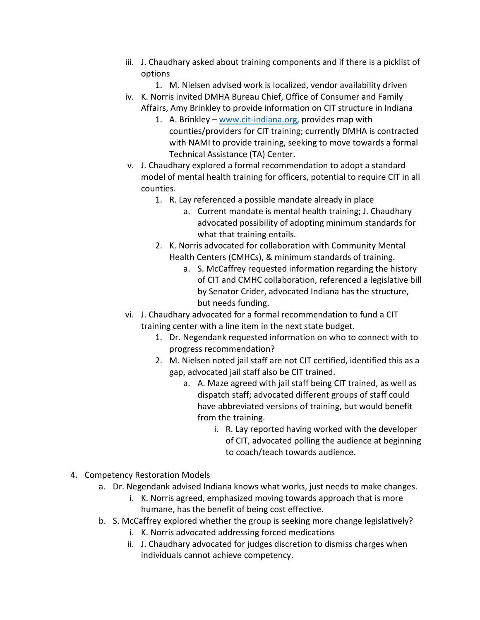- iii. J. Chaudhary asked about training components and if there is a picklist of options
	- 1. M. Nielsen advised work is localized, vendor availability driven
- iv. K. Norris invited DMHA Bureau Chief, Office of Consumer and Family Affairs, Amy Brinkley to provide information on CIT structure in Indiana
	- 1. A. Brinkley – [www.cit-indiana.org,](http://www.cit-indiana.org/) provides map with counties/providers for CIT training; currently DMHA is contracted with NAMI to provide training, seeking to move towards a formal Technical Assistance (TA) Center.
- v. J. Chaudhary explored a formal recommendation to adopt a standard model of mental health training for officers, potential to require CIT in all counties.
	- 1. R. Lay referenced a possible mandate already in place
		- a. Current mandate is mental health training; J. Chaudhary advocated possibility of adopting minimum standards for what that training entails.
	- 2. K. Norris advocated for collaboration with Community Mental Health Centers (CMHCs), & minimum standards of training.
		- a. S. McCaffrey requested information regarding the history of CIT and CMHC collaboration, referenced a legislative bill by Senator Crider, advocated Indiana has the structure, but needs funding.
- vi. J. Chaudhary advocated for a formal recommendation to fund a CIT training center with a line item in the next state budget.
	- 1. Dr. Negendank requested information on who to connect with to progress recommendation?
	- 2. M. Nielsen noted jail staff are not CIT certified, identified this as a gap, advocated jail staff also be CIT trained.
		- a. A. Maze agreed with jail staff being CIT trained, as well as dispatch staff; advocated different groups of staff could have abbreviated versions of training, but would benefit from the training.
			- i. R. Lay reported having worked with the developer of CIT, advocated polling the audience at beginning to coach/teach towards audience.
- 4. Competency Restoration Models
	- a. Dr. Negendank advised Indiana knows what works, just needs to make changes.
		- i. K. Norris agreed, emphasized moving towards approach that is more humane, has the benefit of being cost effective.
	- b. S. McCaffrey explored whether the group is seeking more change legislatively?
		- i. K. Norris advocated addressing forced medications
		- ii. J. Chaudhary advocated for judges discretion to dismiss charges when individuals cannot achieve competency.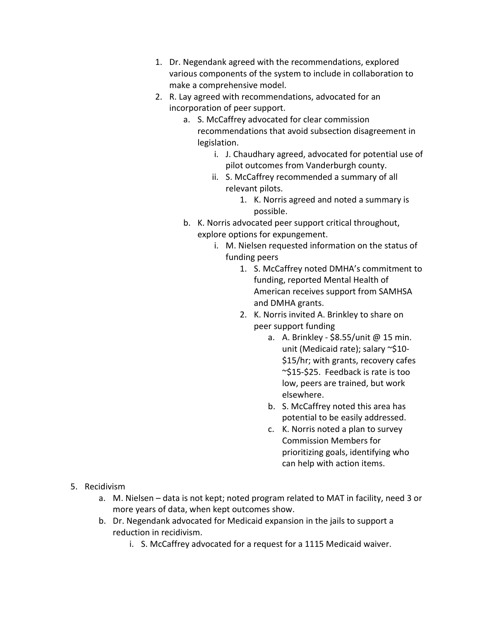- 1. Dr. Negendank agreed with the recommendations, explored various components of the system to include in collaboration to make a comprehensive model.
- 2. R. Lay agreed with recommendations, advocated for an incorporation of peer support.
	- a. S. McCaffrey advocated for clear commission recommendations that avoid subsection disagreement in legislation.
		- i. J. Chaudhary agreed, advocated for potential use of pilot outcomes from Vanderburgh county.
		- ii. S. McCaffrey recommended a summary of all relevant pilots.
			- 1. K. Norris agreed and noted a summary is possible.
	- b. K. Norris advocated peer support critical throughout, explore options for expungement.
		- i. M. Nielsen requested information on the status of funding peers
			- 1. S. McCaffrey noted DMHA's commitment to funding, reported Mental Health of American receives support from SAMHSA and DMHA grants.
			- 2. K. Norris invited A. Brinkley to share on peer support funding
				- a. A. Brinkley \$8.55/unit @ 15 min. unit (Medicaid rate); salary ~\$10-\$15/hr; with grants, recovery cafes ~\$15-\$25. Feedback is rate is too low, peers are trained, but work elsewhere.
				- b. S. McCaffrey noted this area has potential to be easily addressed.
				- c. K. Norris noted a plan to survey Commission Members for prioritizing goals, identifying who can help with action items.

- 5. Recidivism
	- a. M. Nielsen data is not kept; noted program related to MAT in facility, need 3 or more years of data, when kept outcomes show.
	- b. Dr. Negendank advocated for Medicaid expansion in the jails to support a reduction in recidivism.
		- i. S. McCaffrey advocated for a request for a 1115 Medicaid waiver.